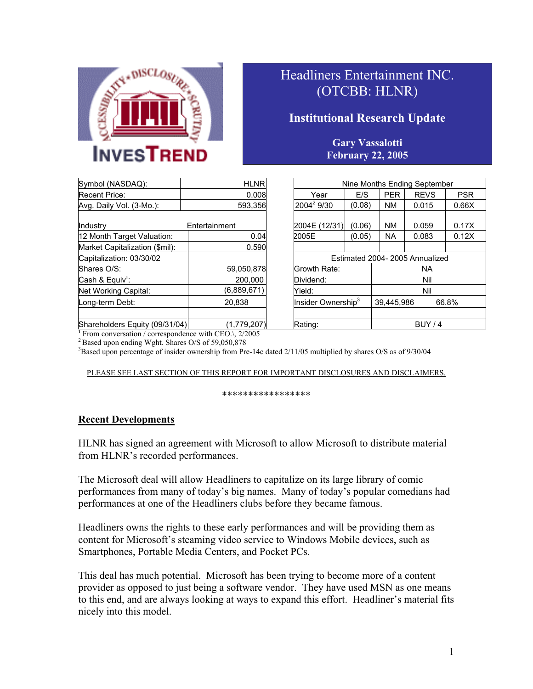

# Headliners Entertainment INC. (OTCBB: HLNR)

## **Institutional Research Update**

### **Gary Vassalotti February 22, 2005**

| Symbol (NASDAQ):               | <b>HLNR</b>   | Nine Months Ending September   |        |            |             |            |
|--------------------------------|---------------|--------------------------------|--------|------------|-------------|------------|
| <b>Recent Price:</b>           | 0.008         | Year                           | E/S    | <b>PER</b> | <b>REVS</b> | <b>PSR</b> |
| Avg. Daily Vol. (3-Mo.):       | 593,356       | 2004 <sup>2</sup> 9/30         | (0.08) | <b>NM</b>  | 0.015       | 0.66X      |
| Industry                       | Entertainment | 2004E (12/31)                  | (0.06) | <b>NM</b>  | 0.059       | 0.17X      |
| 12 Month Target Valuation:     | 0.04          | 2005E                          | (0.05) | <b>NA</b>  | 0.083       | 0.12X      |
| Market Capitalization (\$mil): | 0.590         |                                |        |            |             |            |
| Capitalization: 03/30/02       |               | Estimated 2004-2005 Annualized |        |            |             |            |
| Shares O/S:                    | 59,050,878    | Growth Rate:                   |        | NA.        |             |            |
| Cash & Equiv <sup>1</sup> :    | 200.000       | Nil<br>Dividend:               |        |            |             |            |
| Net Working Capital:           | (6,889,671)   | Nil<br>Yield:                  |        |            |             |            |
| Long-term Debt:                | 20.838        | Insider Ownership <sup>3</sup> |        | 39.445.986 |             | 66.8%      |
| Shareholders Fouity (09/31/04) | (1779207)     | Rating:                        |        | RITY/4     |             |            |

| Symbol (NASDAQ):               | <b>HLNR</b>   | Nine Months Ending September   |           |                     |             |            |
|--------------------------------|---------------|--------------------------------|-----------|---------------------|-------------|------------|
| Recent Price:                  | 0.008         | Year                           | E/S       | <b>PER</b>          | <b>REVS</b> | <b>PSR</b> |
| Avg. Daily Vol. (3-Mo.):       | 593.356       | $2004^2$ 9/30                  | (0.08)    | <b>NM</b>           | 0.015       | 0.66X      |
| Industry                       | Entertainment | 2004E (12/31)                  | (0.06)    | <b>NM</b>           | 0.059       | 0.17X      |
| 12 Month Target Valuation:     | 0.04          | 2005E                          | (0.05)    | <b>NA</b>           | 0.083       | 0.12X      |
| Market Capitalization (\$mil): | 0.590         |                                |           |                     |             |            |
| Capitalization: 03/30/02       |               | Estimated 2004-2005 Annualized |           |                     |             |            |
| Shares O/S:                    | 59,050,878    | Growth Rate:                   | <b>NA</b> |                     |             |            |
| Cash & Equiv <sup>1</sup> :    | 200.000       | Dividend:<br>Nil               |           |                     |             |            |
| Net Working Capital:           | (6,889,671)   | Nil<br>Yield:                  |           |                     |             |            |
| Long-term Debt:                | 20,838        | Insider Ownership <sup>3</sup> |           | 39.445.986<br>66.8% |             |            |
|                                |               |                                |           |                     |             |            |
| Shareholders Equity (09/31/04) | (1,779,207)   | Rating:                        |           | BUY/4               |             |            |

<sup>1</sup> From conversation / correspondence with CEO.\, 2/2005

 $\sim$  Based upon ending Wght. Shares O/S of 59,050,878

<sup>3</sup>Based upon percentage of insider ownership from Pre-14c dated 2/11/05 multiplied by shares O/S as of 9/30/04

### PLEASE SEE LAST SECTION OF THIS REPORT FOR IMPORTANT DISCLOSURES AND DISCLAIMERS.

#### \*\*\*\*\*\*\*\*\*\*\*\*\*\*\*\*\*

### **Recent Developments**

HLNR has signed an agreement with Microsoft to allow Microsoft to distribute material from HLNR's recorded performances.

The Microsoft deal will allow Headliners to capitalize on its large library of comic performances from many of today's big names. Many of today's popular comedians had performances at one of the Headliners clubs before they became famous.

Headliners owns the rights to these early performances and will be providing them as content for Microsoft's steaming video service to Windows Mobile devices, such as Smartphones, Portable Media Centers, and Pocket PCs.

This deal has much potential. Microsoft has been trying to become more of a content provider as opposed to just being a software vendor. They have used MSN as one means to this end, and are always looking at ways to expand this effort. Headliner's material fits nicely into this model.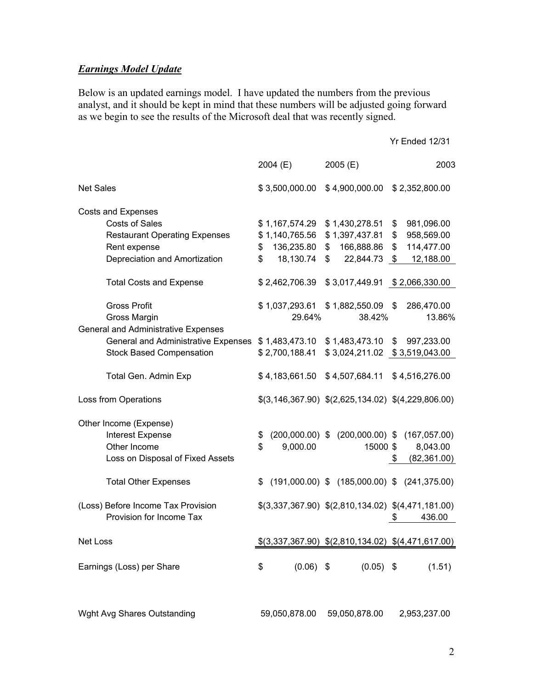### *Earnings Model Update*

Below is an updated earnings model. I have updated the numbers from the previous analyst, and it should be kept in mind that these numbers will be adjusted going forward as we begin to see the results of the Microsoft deal that was recently signed.

|                                                                                                                                                                                                                      | 2004 (E)                                                                                                              | 2005(E)                                                                                                                   | 2003                                                                                                                    |
|----------------------------------------------------------------------------------------------------------------------------------------------------------------------------------------------------------------------|-----------------------------------------------------------------------------------------------------------------------|---------------------------------------------------------------------------------------------------------------------------|-------------------------------------------------------------------------------------------------------------------------|
| <b>Net Sales</b>                                                                                                                                                                                                     | \$3,500,000.00                                                                                                        | \$4,900,000.00                                                                                                            | \$2,352,800.00                                                                                                          |
| <b>Costs and Expenses</b><br><b>Costs of Sales</b><br><b>Restaurant Operating Expenses</b><br>Rent expense<br>Depreciation and Amortization<br><b>Total Costs and Expense</b><br><b>Gross Profit</b><br>Gross Margin | \$1,167,574.29<br>\$1,140,765.56<br>136,235.80<br>\$<br>18,130.74<br>\$<br>\$2,462,706.39<br>\$1,037,293.61<br>29.64% | \$1,430,278.51<br>\$1,397,437.81<br>166,888.86<br>\$<br>22,844.73<br>\$<br>\$3,017,449.91<br>$$1,882,550.09$ \$<br>38.42% | \$<br>981,096.00<br>\$<br>958,569.00<br>114,477.00<br>\$<br>12,188.00<br>- \$<br>\$2,066,330.00<br>286,470.00<br>13.86% |
| <b>General and Administrative Expenses</b><br>General and Administrative Expenses<br><b>Stock Based Compensation</b><br>Total Gen. Admin Exp                                                                         | \$1,483,473.10<br>\$2,700,188.41<br>\$4,183,661.50                                                                    | \$1,483,473.10<br>\$4,507,684.11                                                                                          | 997,233.00<br>\$<br>\$4,516,276.00                                                                                      |
| Loss from Operations                                                                                                                                                                                                 |                                                                                                                       | $$(3,146,367.90)$ $$(2,625,134.02)$ $$(4,229,806.00)$                                                                     |                                                                                                                         |
| Other Income (Expense)<br><b>Interest Expense</b><br>Other Income<br>Loss on Disposal of Fixed Assets                                                                                                                | \$<br>\$<br>9,000.00                                                                                                  | $(200,000.00)$ \$ $(200,000.00)$ \$<br>15000 \$                                                                           | (167, 057.00)<br>8,043.00<br>(82, 361.00)<br>\$                                                                         |
| <b>Total Other Expenses</b>                                                                                                                                                                                          | \$                                                                                                                    | $(191,000.00)$ \$ $(185,000.00)$ \$ $(241,375.00)$                                                                        |                                                                                                                         |
| (Loss) Before Income Tax Provision<br>Provision for Income Tax                                                                                                                                                       |                                                                                                                       | $$(3,337,367.90)$ $$(2,810,134.02)$ $$(4,471,181.00)$                                                                     | 436.00<br>\$                                                                                                            |
| Net Loss                                                                                                                                                                                                             |                                                                                                                       | $$(3,337,367.90)$ $$(2,810,134.02)$ $$(4,471,617.00)$                                                                     |                                                                                                                         |
| Earnings (Loss) per Share                                                                                                                                                                                            | $(0.06)$ \$<br>\$                                                                                                     | $(0.05)$ \$                                                                                                               | (1.51)                                                                                                                  |

Wght Avg Shares Outstanding 59,050,878.00 59,050,878.00 2,953,237.00

Yr Ended 12/31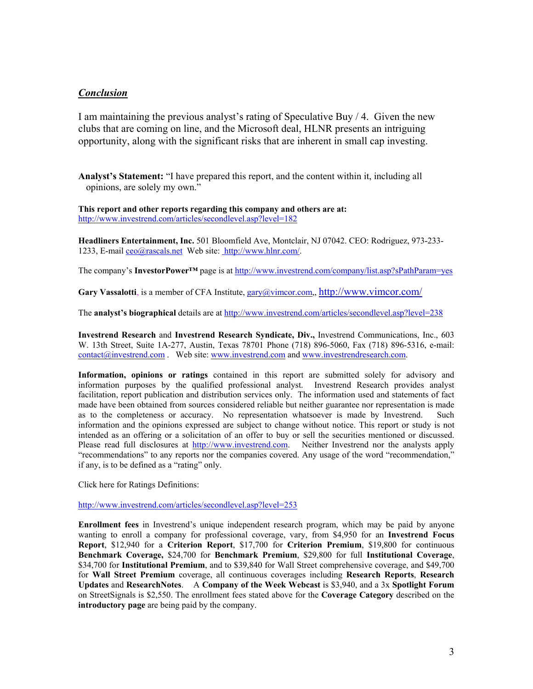### *Conclusion*

I am maintaining the previous analyst's rating of Speculative Buy / 4. Given the new clubs that are coming on line, and the Microsoft deal, HLNR presents an intriguing opportunity, along with the significant risks that are inherent in small cap investing.

**Analyst's Statement:** "I have prepared this report, and the content within it, including all opinions, are solely my own."

#### **This report and other reports regarding this company and others are at:**  <http://www.investrend.com/articles/secondlevel.asp?level=182>

**Headliners Entertainment, Inc.** 501 Bloomfield Ave, Montclair, NJ 07042. CEO: Rodriguez, 973-233- 1233, E-mail [ceo@rascals.net](mailto:ceo@rascals.net) Web site: [http://www.hlnr.com/](http://www.prvh.com/).

The company's **InvestorPower™** page is at <http://www.investrend.com/company/list.asp?sPathParam=yes>

**Gary Vassalotti**, is a member of CFA Institute, [gary@vimcor.com,](mailto:gary@vimcor.com),<http://www.vimcor.com/>

The **analyst's biographical** details are at <http://www.investrend.com/articles/secondlevel.asp?level=238>

**Investrend Research** and **Investrend Research Syndicate, Div.,** Investrend Communications, Inc., 603 W. 13th Street, Suite 1A-277, Austin, Texas 78701 Phone (718) 896-5060, Fax (718) 896-5316, e-mail: [contact@investrend.com](mailto:contact@investrend.com) . Web site: [www.investrend.com](http://www.investrend.com/) and [www.investrendresearch.com](http://www.investrendresearch.com/).

**Information, opinions or ratings** contained in this report are submitted solely for advisory and information purposes by the qualified professional analyst. Investrend Research provides analyst facilitation, report publication and distribution services only. The information used and statements of fact made have been obtained from sources considered reliable but neither guarantee nor representation is made as to the completeness or accuracy. No representation whatsoever is made by Investrend. Such information and the opinions expressed are subject to change without notice. This report or study is not intended as an offering or a solicitation of an offer to buy or sell the securities mentioned or discussed. Please read full disclosures at [http://www.investrend.com.](http://www.investrend.com/) Neither Investrend nor the analysts apply "recommendations" to any reports nor the companies covered. Any usage of the word "recommendation," if any, is to be defined as a "rating" only.

Click here for Ratings Definitions:

<http://www.investrend.com/articles/secondlevel.asp?level=253>

**Enrollment fees** in Investrend's unique independent research program, which may be paid by anyone wanting to enroll a company for professional coverage, vary, from \$4,950 for an **Investrend Focus Report**, \$12,940 for a **Criterion Report**, \$17,700 for **Criterion Premium**, \$19,800 for continuous **Benchmark Coverage,** \$24,700 for **Benchmark Premium**, \$29,800 for full **Institutional Coverage**, \$34,700 for **Institutional Premium**, and to \$39,840 for Wall Street comprehensive coverage, and \$49,700 for **Wall Street Premium** coverage, all continuous coverages including **Research Reports**, **Research Updates** and **ResearchNotes**. A **Company of the Week Webcast** is \$3,940, and a 3x **Spotlight Forum** on StreetSignals is \$2,550. The enrollment fees stated above for the **Coverage Category** described on the **introductory page** are being paid by the company.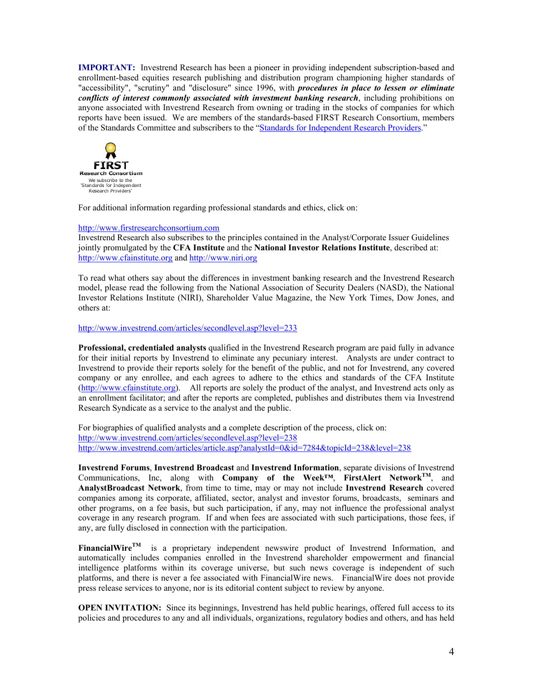**IMPORTANT:** Investrend Research has been a pioneer in providing independent subscription-based and enrollment-based equities research publishing and distribution program championing higher standards of "accessibility", "scrutiny" and "disclosure" since 1996, with *procedures in place to lessen or eliminate conflicts of interest commonly associated with investment banking research*, including prohibitions on anyone associated with Investrend Research from owning or trading in the stocks of companies for which reports have been issued. We are members of the standards-based FIRST Research Consortium, members of the Standards Committee and subscribers to the ["Standards for Independent Research Providers.](http://www.firstresearchconsortium.com/)"



For additional information regarding professional standards and ethics, click on:

#### [http://www.firstresearchconsortium.com](http://www.firstresearchconsortium.com/)

Investrend Research also subscribes to the principles contained in the Analyst/Corporate Issuer Guidelines jointly promulgated by the **CFA Institute** and the **National Investor Relations Institute**, described at: [http://www.cfainstitute.org](http://www.cfainstitute.org/) and [http://www.niri.org](http://www.niri.org/) 

To read what others say about the differences in investment banking research and the Investrend Research model, please read the following from the National Association of Security Dealers (NASD), the National Investor Relations Institute (NIRI), Shareholder Value Magazine, the New York Times, Dow Jones, and others at:

#### <http://www.investrend.com/articles/secondlevel.asp?level=233>

**Professional, credentialed analysts** qualified in the Investrend Research program are paid fully in advance for their initial reports by Investrend to eliminate any pecuniary interest. Analysts are under contract to Investrend to provide their reports solely for the benefit of the public, and not for Investrend, any covered company or any enrollee, and each agrees to adhere to the ethics and standards of the CFA Institute [\(http://www.cfainstitute.org\)](http://www.cfainstitute.org/). All reports are solely the product of the analyst, and Investrend acts only as an enrollment facilitator; and after the reports are completed, publishes and distributes them via Investrend Research Syndicate as a service to the analyst and the public.

For biographies of qualified analysts and a complete description of the process, click on: <http://www.investrend.com/articles/secondlevel.asp?level=238> <http://www.investrend.com/articles/article.asp?analystId=0&id=7284&topicId=238&level=238>

**Investrend Forums**, **Investrend Broadcast** and **Investrend Information**, separate divisions of Investrend Communications, Inc, along with **Company of the Week™**, **FirstAlert NetworkTM**, and **AnalystBroadcast Network**, from time to time, may or may not include **Investrend Research** covered companies among its corporate, affiliated, sector, analyst and investor forums, broadcasts, seminars and other programs, on a fee basis, but such participation, if any, may not influence the professional analyst coverage in any research program. If and when fees are associated with such participations, those fees, if any, are fully disclosed in connection with the participation.

FinancialWire<sup>TM</sup> is a proprietary independent newswire product of Investrend Information, and automatically includes companies enrolled in the Investrend shareholder empowerment and financial intelligence platforms within its coverage universe, but such news coverage is independent of such platforms, and there is never a fee associated with FinancialWire news. FinancialWire does not provide press release services to anyone, nor is its editorial content subject to review by anyone.

**OPEN INVITATION:** Since its beginnings, Investrend has held public hearings, offered full access to its policies and procedures to any and all individuals, organizations, regulatory bodies and others, and has held